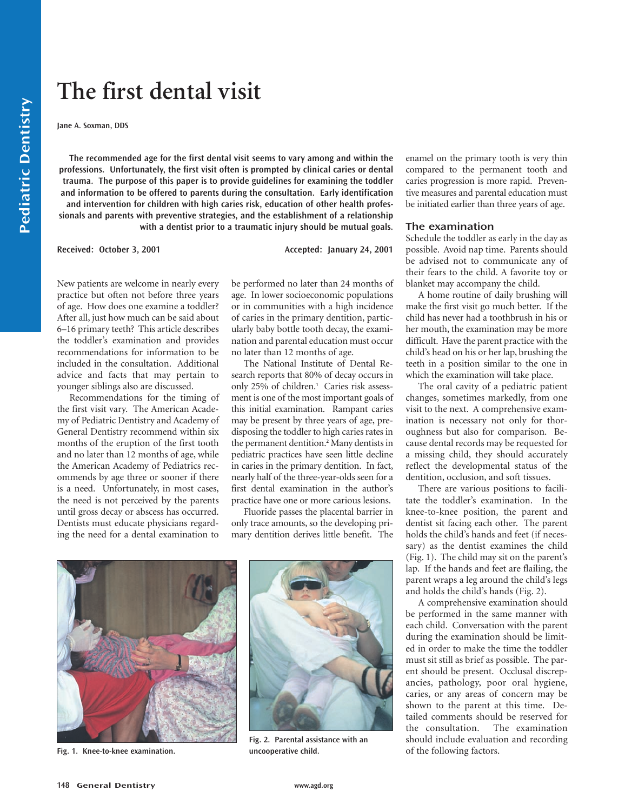# **The first dental visit**

**Jane A. Soxman, DDS**

**The recommended age for the first dental visit seems to vary among and within the professions. Unfortunately, the first visit often is prompted by clinical caries or dental trauma. The purpose of this paper is to provide guidelines for examining the toddler and information to be offered to parents during the consultation. Early identification and intervention for children with high caries risk, education of other health professionals and parents with preventive strategies, and the establishment of a relationship with a dentist prior to a traumatic injury should be mutual goals.**

Received: October 3, 2001 **Accepted: January 24, 2001** 

New patients are welcome in nearly every practice but often not before three years of age. How does one examine a toddler? After all, just how much can be said about 6–16 primary teeth? This article describes the toddler's examination and provides recommendations for information to be included in the consultation. Additional advice and facts that may pertain to younger siblings also are discussed.

Recommendations for the timing of the first visit vary. The American Academy of Pediatric Dentistry and Academy of General Dentistry recommend within six months of the eruption of the first tooth and no later than 12 months of age, while the American Academy of Pediatrics recommends by age three or sooner if there is a need. Unfortunately, in most cases, the need is not perceived by the parents until gross decay or abscess has occurred. Dentists must educate physicians regarding the need for a dental examination to be performed no later than 24 months of age. In lower socioeconomic populations or in communities with a high incidence of caries in the primary dentition, particularly baby bottle tooth decay, the examination and parental education must occur no later than 12 months of age.

The National Institute of Dental Research reports that 80% of decay occurs in only 25% of children.**<sup>1</sup>** Caries risk assessment is one of the most important goals of this initial examination. Rampant caries may be present by three years of age, predisposing the toddler to high caries rates in the permanent dentition.**<sup>2</sup>** Many dentists in pediatric practices have seen little decline in caries in the primary dentition. In fact, nearly half of the three-year-olds seen for a first dental examination in the author's practice have one or more carious lesions.

Fluoride passes the placental barrier in only trace amounts, so the developing primary dentition derives little benefit. The



**Fig. 1. Knee-to-knee examination.**



**Fig. 2. Parental assistance with an uncooperative child.**

enamel on the primary tooth is very thin compared to the permanent tooth and caries progression is more rapid. Preventive measures and parental education must be initiated earlier than three years of age.

## **The examination**

Schedule the toddler as early in the day as possible. Avoid nap time. Parents should be advised not to communicate any of their fears to the child. A favorite toy or blanket may accompany the child.

A home routine of daily brushing will make the first visit go much better. If the child has never had a toothbrush in his or her mouth, the examination may be more difficult. Have the parent practice with the child's head on his or her lap, brushing the teeth in a position similar to the one in which the examination will take place.

The oral cavity of a pediatric patient changes, sometimes markedly, from one visit to the next. A comprehensive examination is necessary not only for thoroughness but also for comparison. Because dental records may be requested for a missing child, they should accurately reflect the developmental status of the dentition, occlusion, and soft tissues.

There are various positions to facilitate the toddler's examination. In the knee-to-knee position, the parent and dentist sit facing each other. The parent holds the child's hands and feet (if necessary) as the dentist examines the child (Fig. 1). The child may sit on the parent's lap. If the hands and feet are flailing, the parent wraps a leg around the child's legs and holds the child's hands (Fig. 2).

A comprehensive examination should be performed in the same manner with each child. Conversation with the parent during the examination should be limited in order to make the time the toddler must sit still as brief as possible. The parent should be present. Occlusal discrepancies, pathology, poor oral hygiene, caries, or any areas of concern may be shown to the parent at this time. Detailed comments should be reserved for the consultation. The examination should include evaluation and recording of the following factors.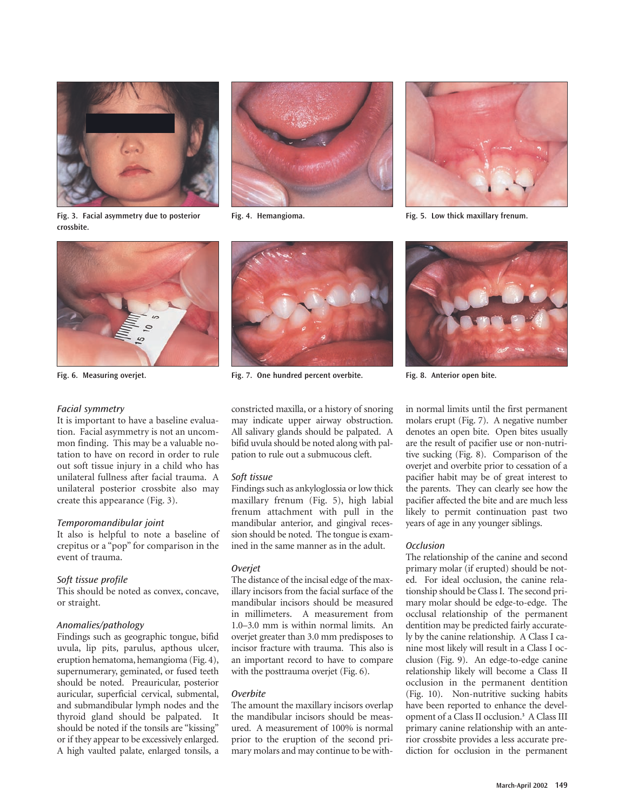





**Fig. 4. Hemangioma. Fig. 5. Low thick maxillary frenum.**

**Fig. 3. Facial asymmetry due to posterior crossbite.**



## Facial symmetry

It is important to have a baseline evaluation. Facial asymmetry is not an uncommon finding. This may be a valuable notation to have on record in order to rule out soft tissue injury in a child who has unilateral fullness after facial trauma. A unilateral posterior crossbite also may create this appearance (Fig. 3).

## Temporomandibular joint

It also is helpful to note a baseline of crepitus or a "pop" for comparison in the event of trauma.

# Soft tissue profile

This should be noted as convex, concave, or straight.

# Anomalies/pathology

Findings such as geographic tongue, bifid uvula, lip pits, parulus, apthous ulcer, eruption hematoma, hemangioma (Fig. 4), supernumerary, geminated, or fused teeth should be noted. Preauricular, posterior auricular, superficial cervical, submental, and submandibular lymph nodes and the thyroid gland should be palpated. It should be noted if the tonsils are "kissing" or if they appear to be excessively enlarged. A high vaulted palate, enlarged tonsils, a



**Fig. 6. Measuring overjet. Fig. 7. One hundred percent overbite. Fig. 8. Anterior open bite.**

constricted maxilla, or a history of snoring may indicate upper airway obstruction. All salivary glands should be palpated. A bifid uvula should be noted along with palpation to rule out a submucous cleft.

# Soft tissue

Findings such as ankyloglossia or low thick maxillary frenum (Fig. 5), high labial frenum attachment with pull in the mandibular anterior, and gingival recession should be noted. The tongue is examined in the same manner as in the adult.

# **Overiet**

The distance of the incisal edge of the maxillary incisors from the facial surface of the mandibular incisors should be measured in millimeters. A measurement from 1.0–3.0 mm is within normal limits. An overjet greater than 3.0 mm predisposes to incisor fracture with trauma. This also is an important record to have to compare with the posttrauma overjet (Fig. 6).

#### **Overbite**

The amount the maxillary incisors overlap the mandibular incisors should be measured. A measurement of 100% is normal prior to the eruption of the second primary molars and may continue to be with-



in normal limits until the first permanent molars erupt (Fig. 7). A negative number denotes an open bite. Open bites usually are the result of pacifier use or non-nutritive sucking (Fig. 8). Comparison of the overjet and overbite prior to cessation of a pacifier habit may be of great interest to the parents. They can clearly see how the pacifier affected the bite and are much less likely to permit continuation past two years of age in any younger siblings.

## **Occlusion**

The relationship of the canine and second primary molar (if erupted) should be noted. For ideal occlusion, the canine relationship should be Class I. The second primary molar should be edge-to-edge. The occlusal relationship of the permanent dentition may be predicted fairly accurately by the canine relationship. A Class I canine most likely will result in a Class I occlusion (Fig. 9). An edge-to-edge canine relationship likely will become a Class II occlusion in the permanent dentition (Fig. 10). Non-nutritive sucking habits have been reported to enhance the development of a Class II occlusion.**<sup>3</sup>** A Class III primary canine relationship with an anterior crossbite provides a less accurate prediction for occlusion in the permanent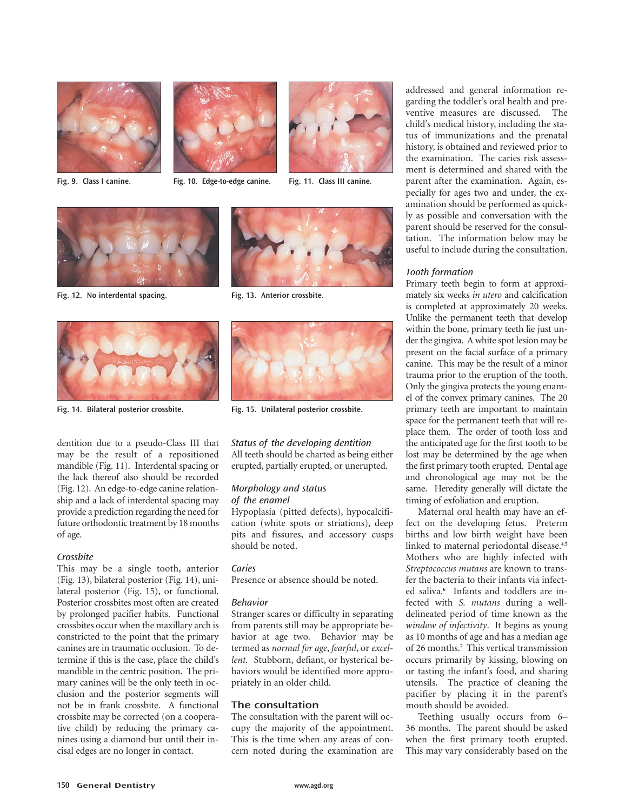

**Fig. 9. Class I canine.**



**Fig. 10. Edge-to-edge canine. Fig. 11. Class III canine.**





**Fig. 12. No interdental spacing. Fig. 13. Anterior crossbite.**



**Fig. 14. Bilateral posterior crossbite. Fig. 15. Unilateral posterior crossbite.**

dentition due to a pseudo-Class III that may be the result of a repositioned mandible (Fig. 11). Interdental spacing or the lack thereof also should be recorded (Fig. 12). An edge-to-edge canine relationship and a lack of interdental spacing may provide a prediction regarding the need for future orthodontic treatment by 18 months of age.

## Crossbite

This may be a single tooth, anterior (Fig. 13), bilateral posterior (Fig. 14), unilateral posterior (Fig. 15), or functional. Posterior crossbites most often are created by prolonged pacifier habits. Functional crossbites occur when the maxillary arch is constricted to the point that the primary canines are in traumatic occlusion. To determine if this is the case, place the child's mandible in the centric position. The primary canines will be the only teeth in occlusion and the posterior segments will not be in frank crossbite. A functional crossbite may be corrected (on a cooperative child) by reducing the primary canines using a diamond bur until their incisal edges are no longer in contact.





Status of the developing dentition All teeth should be charted as being either erupted, partially erupted, or unerupted.

# Morphology and status of the enamel

Hypoplasia (pitted defects), hypocalcification (white spots or striations), deep pits and fissures, and accessory cusps should be noted.

## Caries

Presence or absence should be noted.

## Behavior

Stranger scares or difficulty in separating from parents still may be appropriate behavior at age two. Behavior may be termed as *normal for age*, *fearful*, or *excellent.* Stubborn, defiant, or hysterical behaviors would be identified more appropriately in an older child.

# **The consultation**

The consultation with the parent will occupy the majority of the appointment. This is the time when any areas of concern noted during the examination are addressed and general information regarding the toddler's oral health and preventive measures are discussed. The child's medical history, including the status of immunizations and the prenatal history, is obtained and reviewed prior to the examination. The caries risk assessment is determined and shared with the parent after the examination. Again, especially for ages two and under, the examination should be performed as quickly as possible and conversation with the parent should be reserved for the consultation. The information below may be useful to include during the consultation.

# Tooth formation

Primary teeth begin to form at approximately six weeks *in utero* and calcification is completed at approximately 20 weeks. Unlike the permanent teeth that develop within the bone, primary teeth lie just under the gingiva. A white spot lesion may be present on the facial surface of a primary canine. This may be the result of a minor trauma prior to the eruption of the tooth. Only the gingiva protects the young enamel of the convex primary canines. The 20 primary teeth are important to maintain space for the permanent teeth that will replace them. The order of tooth loss and the anticipated age for the first tooth to be lost may be determined by the age when the first primary tooth erupted. Dental age and chronological age may not be the same. Heredity generally will dictate the timing of exfoliation and eruption.

Maternal oral health may have an effect on the developing fetus. Preterm births and low birth weight have been linked to maternal periodontal disease.**4,5** Mothers who are highly infected with *Streptococcus mutans* are known to transfer the bacteria to their infants via infected saliva.**<sup>6</sup>** Infants and toddlers are infected with *S. mutans* during a welldelineated period of time known as the *window of infectivity*. It begins as young as 10 months of age and has a median age of 26 months.**<sup>7</sup>** This vertical transmission occurs primarily by kissing, blowing on or tasting the infant's food, and sharing utensils. The practice of cleaning the pacifier by placing it in the parent's mouth should be avoided.

Teething usually occurs from 6– 36 months. The parent should be asked when the first primary tooth erupted. This may vary considerably based on the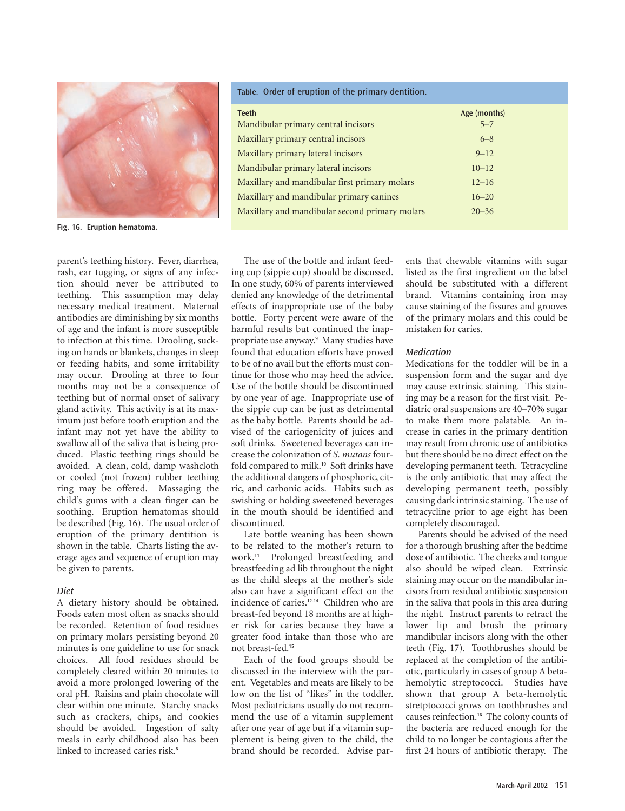

**Fig. 16. Eruption hematoma.**

parent's teething history. Fever, diarrhea, rash, ear tugging, or signs of any infection should never be attributed to teething. This assumption may delay necessary medical treatment. Maternal antibodies are diminishing by six months of age and the infant is more susceptible to infection at this time. Drooling, sucking on hands or blankets, changes in sleep or feeding habits, and some irritability may occur. Drooling at three to four months may not be a consequence of teething but of normal onset of salivary gland activity. This activity is at its maximum just before tooth eruption and the infant may not yet have the ability to swallow all of the saliva that is being produced. Plastic teething rings should be avoided. A clean, cold, damp washcloth or cooled (not frozen) rubber teething ring may be offered. Massaging the child's gums with a clean finger can be soothing. Eruption hematomas should be described (Fig. 16). The usual order of eruption of the primary dentition is shown in the table. Charts listing the average ages and sequence of eruption may be given to parents.

## Diet

A dietary history should be obtained. Foods eaten most often as snacks should be recorded. Retention of food residues on primary molars persisting beyond 20 minutes is one guideline to use for snack choices. All food residues should be completely cleared within 20 minutes to avoid a more prolonged lowering of the oral pH. Raisins and plain chocolate will clear within one minute. Starchy snacks such as crackers, chips, and cookies should be avoided. Ingestion of salty meals in early childhood also has been linked to increased caries risk.**<sup>8</sup>**

The use of the bottle and infant feeding cup (sippie cup) should be discussed. In one study, 60% of parents interviewed denied any knowledge of the detrimental effects of inappropriate use of the baby bottle. Forty percent were aware of the harmful results but continued the inappropriate use anyway.**<sup>9</sup>** Many studies have found that education efforts have proved to be of no avail but the efforts must continue for those who may heed the advice. Use of the bottle should be discontinued by one year of age. Inappropriate use of the sippie cup can be just as detrimental as the baby bottle. Parents should be advised of the cariogenicity of juices and soft drinks. Sweetened beverages can increase the colonization of *S. mutans* fourfold compared to milk.**<sup>10</sup>** Soft drinks have the additional dangers of phosphoric, citric, and carbonic acids. Habits such as swishing or holding sweetened beverages in the mouth should be identified and discontinued.

Late bottle weaning has been shown to be related to the mother's return to work.**<sup>11</sup>** Prolonged breastfeeding and breastfeeding ad lib throughout the night as the child sleeps at the mother's side also can have a significant effect on the incidence of caries.**12-14** Children who are breast-fed beyond 18 months are at higher risk for caries because they have a greater food intake than those who are not breast-fed.**<sup>15</sup>**

Each of the food groups should be discussed in the interview with the parent. Vegetables and meats are likely to be low on the list of "likes" in the toddler. Most pediatricians usually do not recommend the use of a vitamin supplement after one year of age but if a vitamin supplement is being given to the child, the brand should be recorded. Advise parents that chewable vitamins with sugar listed as the first ingredient on the label should be substituted with a different brand. Vitamins containing iron may cause staining of the fissures and grooves of the primary molars and this could be mistaken for caries.

## Medication

Medications for the toddler will be in a suspension form and the sugar and dye may cause extrinsic staining. This staining may be a reason for the first visit. Pediatric oral suspensions are 40–70% sugar to make them more palatable. An increase in caries in the primary dentition may result from chronic use of antibiotics but there should be no direct effect on the developing permanent teeth. Tetracycline is the only antibiotic that may affect the developing permanent teeth, possibly causing dark intrinsic staining. The use of tetracycline prior to age eight has been completely discouraged.

Parents should be advised of the need for a thorough brushing after the bedtime dose of antibiotic. The cheeks and tongue also should be wiped clean. Extrinsic staining may occur on the mandibular incisors from residual antibiotic suspension in the saliva that pools in this area during the night. Instruct parents to retract the lower lip and brush the primary mandibular incisors along with the other teeth (Fig. 17). Toothbrushes should be replaced at the completion of the antibiotic, particularly in cases of group A betahemolytic streptococci. Studies have shown that group A beta-hemolytic stretptococci grows on toothbrushes and causes reinfection.**<sup>16</sup>** The colony counts of the bacteria are reduced enough for the child to no longer be contagious after the first 24 hours of antibiotic therapy. The

#### **Table.** Order of eruption of the primary dentition.

| <b>Teeth</b><br>Mandibular primary central incisors | Age (months)<br>$5 - 7$ |
|-----------------------------------------------------|-------------------------|
| Maxillary primary central incisors                  | $6 - 8$                 |
| Maxillary primary lateral incisors                  | $9 - 12$                |
| Mandibular primary lateral incisors                 | $10 - 12$               |
| Maxillary and mandibular first primary molars       | $12 - 16$               |
| Maxillary and mandibular primary canines            | $16 - 20$               |
| Maxillary and mandibular second primary molars      | $20 - 36$               |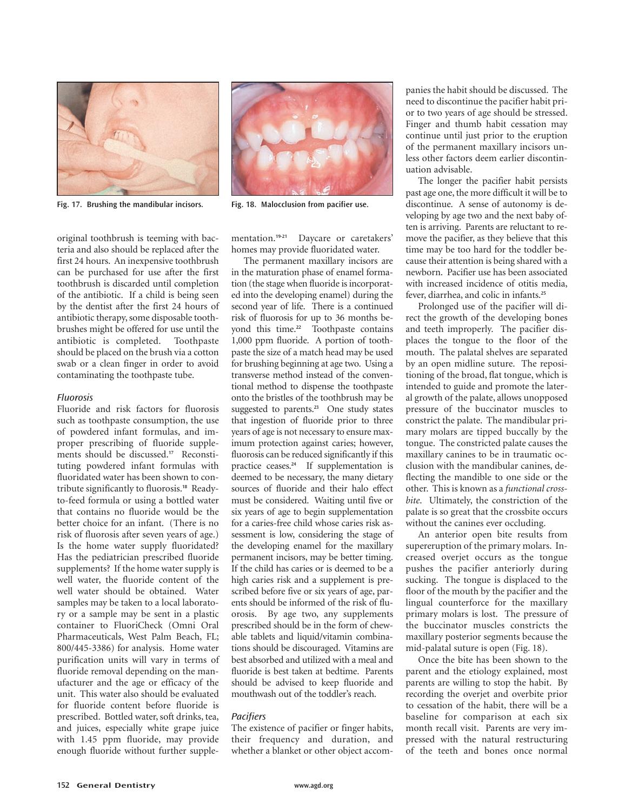

**Fig. 17. Brushing the mandibular incisors. Fig. 18. Malocclusion from pacifier use.**

original toothbrush is teeming with bacteria and also should be replaced after the first 24 hours. An inexpensive toothbrush can be purchased for use after the first toothbrush is discarded until completion of the antibiotic. If a child is being seen by the dentist after the first 24 hours of antibiotic therapy, some disposable toothbrushes might be offered for use until the antibiotic is completed. Toothpaste should be placed on the brush via a cotton swab or a clean finger in order to avoid contaminating the toothpaste tube.

## Fluorosis

Fluoride and risk factors for fluorosis such as toothpaste consumption, the use of powdered infant formulas, and improper prescribing of fluoride supplements should be discussed.**<sup>17</sup>** Reconstituting powdered infant formulas with fluoridated water has been shown to contribute significantly to fluorosis.**<sup>18</sup>** Readyto-feed formula or using a bottled water that contains no fluoride would be the better choice for an infant. (There is no risk of fluorosis after seven years of age.) Is the home water supply fluoridated? Has the pediatrician prescribed fluoride supplements? If the home water supply is well water, the fluoride content of the well water should be obtained. Water samples may be taken to a local laboratory or a sample may be sent in a plastic container to FluoriCheck (Omni Oral Pharmaceuticals, West Palm Beach, FL; 800/445-3386) for analysis. Home water purification units will vary in terms of fluoride removal depending on the manufacturer and the age or efficacy of the unit. This water also should be evaluated for fluoride content before fluoride is prescribed. Bottled water, soft drinks, tea, and juices, especially white grape juice with 1.45 ppm fluoride, may provide enough fluoride without further supplementation.**19-21** Daycare or caretakers' homes may provide fluoridated water.

The permanent maxillary incisors are in the maturation phase of enamel formation (the stage when fluoride is incorporated into the developing enamel) during the second year of life. There is a continued risk of fluorosis for up to 36 months beyond this time.**<sup>22</sup>** Toothpaste contains 1,000 ppm fluoride. A portion of toothpaste the size of a match head may be used for brushing beginning at age two. Using a transverse method instead of the conventional method to dispense the toothpaste onto the bristles of the toothbrush may be suggested to parents.**<sup>23</sup>** One study states that ingestion of fluoride prior to three years of age is not necessary to ensure maximum protection against caries; however, fluorosis can be reduced significantly if this practice ceases.**<sup>24</sup>** If supplementation is deemed to be necessary, the many dietary sources of fluoride and their halo effect must be considered. Waiting until five or six years of age to begin supplementation for a caries-free child whose caries risk assessment is low, considering the stage of the developing enamel for the maxillary permanent incisors, may be better timing. If the child has caries or is deemed to be a high caries risk and a supplement is prescribed before five or six years of age, parents should be informed of the risk of fluorosis. By age two, any supplements prescribed should be in the form of chewable tablets and liquid/vitamin combinations should be discouraged. Vitamins are best absorbed and utilized with a meal and fluoride is best taken at bedtime. Parents should be advised to keep fluoride and mouthwash out of the toddler's reach.

# **Pacifiers**

The existence of pacifier or finger habits, their frequency and duration, and whether a blanket or other object accompanies the habit should be discussed. The need to discontinue the pacifier habit prior to two years of age should be stressed. Finger and thumb habit cessation may continue until just prior to the eruption of the permanent maxillary incisors unless other factors deem earlier discontinuation advisable.

The longer the pacifier habit persists past age one, the more difficult it will be to discontinue. A sense of autonomy is developing by age two and the next baby often is arriving. Parents are reluctant to remove the pacifier, as they believe that this time may be too hard for the toddler because their attention is being shared with a newborn. Pacifier use has been associated with increased incidence of otitis media, fever, diarrhea, and colic in infants.**<sup>25</sup>**

Prolonged use of the pacifier will direct the growth of the developing bones and teeth improperly. The pacifier displaces the tongue to the floor of the mouth. The palatal shelves are separated by an open midline suture. The repositioning of the broad, flat tongue, which is intended to guide and promote the lateral growth of the palate, allows unopposed pressure of the buccinator muscles to constrict the palate. The mandibular primary molars are tipped buccally by the tongue. The constricted palate causes the maxillary canines to be in traumatic occlusion with the mandibular canines, deflecting the mandible to one side or the other. This is known as a *functional crossbite*. Ultimately, the constriction of the palate is so great that the crossbite occurs without the canines ever occluding.

An anterior open bite results from supereruption of the primary molars. Increased overjet occurs as the tongue pushes the pacifier anteriorly during sucking. The tongue is displaced to the floor of the mouth by the pacifier and the lingual counterforce for the maxillary primary molars is lost. The pressure of the buccinator muscles constricts the maxillary posterior segments because the mid-palatal suture is open (Fig. 18).

Once the bite has been shown to the parent and the etiology explained, most parents are willing to stop the habit. By recording the overjet and overbite prior to cessation of the habit, there will be a baseline for comparison at each six month recall visit. Parents are very impressed with the natural restructuring of the teeth and bones once normal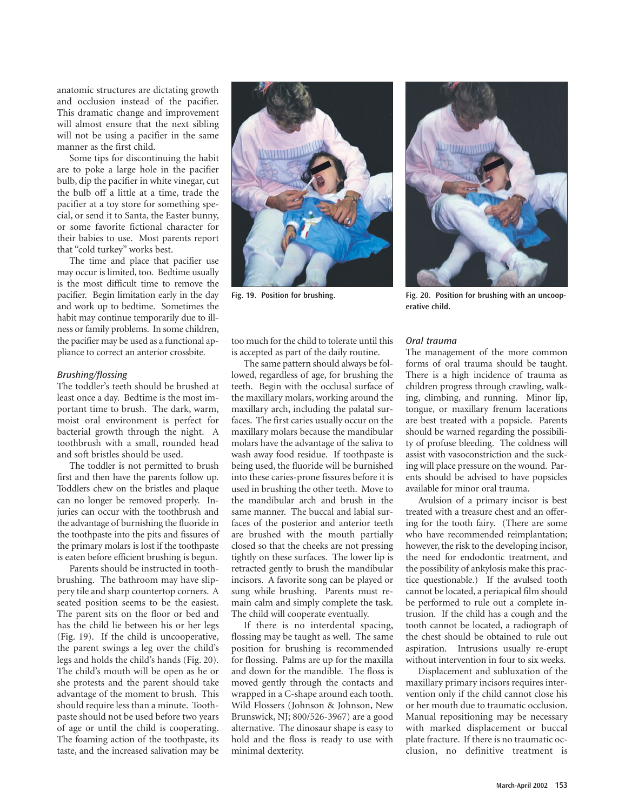anatomic structures are dictating growth and occlusion instead of the pacifier. This dramatic change and improvement will almost ensure that the next sibling will not be using a pacifier in the same manner as the first child.

Some tips for discontinuing the habit are to poke a large hole in the pacifier bulb, dip the pacifier in white vinegar, cut the bulb off a little at a time, trade the pacifier at a toy store for something special, or send it to Santa, the Easter bunny, or some favorite fictional character for their babies to use. Most parents report that "cold turkey" works best.

The time and place that pacifier use may occur is limited, too. Bedtime usually is the most difficult time to remove the pacifier. Begin limitation early in the day and work up to bedtime. Sometimes the habit may continue temporarily due to illness or family problems. In some children, the pacifier may be used as a functional appliance to correct an anterior crossbite.

## Brushing/flossing

The toddler's teeth should be brushed at least once a day. Bedtime is the most important time to brush. The dark, warm, moist oral environment is perfect for bacterial growth through the night. A toothbrush with a small, rounded head and soft bristles should be used.

The toddler is not permitted to brush first and then have the parents follow up. Toddlers chew on the bristles and plaque can no longer be removed properly. Injuries can occur with the toothbrush and the advantage of burnishing the fluoride in the toothpaste into the pits and fissures of the primary molars is lost if the toothpaste is eaten before efficient brushing is begun.

Parents should be instructed in toothbrushing. The bathroom may have slippery tile and sharp countertop corners. A seated position seems to be the easiest. The parent sits on the floor or bed and has the child lie between his or her legs (Fig. 19). If the child is uncooperative, the parent swings a leg over the child's legs and holds the child's hands (Fig. 20). The child's mouth will be open as he or she protests and the parent should take advantage of the moment to brush. This should require less than a minute. Toothpaste should not be used before two years of age or until the child is cooperating. The foaming action of the toothpaste, its taste, and the increased salivation may be



too much for the child to tolerate until this is accepted as part of the daily routine.

The same pattern should always be followed, regardless of age, for brushing the teeth. Begin with the occlusal surface of the maxillary molars, working around the maxillary arch, including the palatal surfaces. The first caries usually occur on the maxillary molars because the mandibular molars have the advantage of the saliva to wash away food residue. If toothpaste is being used, the fluoride will be burnished into these caries-prone fissures before it is used in brushing the other teeth. Move to the mandibular arch and brush in the same manner. The buccal and labial surfaces of the posterior and anterior teeth are brushed with the mouth partially closed so that the cheeks are not pressing tightly on these surfaces. The lower lip is retracted gently to brush the mandibular incisors. A favorite song can be played or sung while brushing. Parents must remain calm and simply complete the task. The child will cooperate eventually.

If there is no interdental spacing, flossing may be taught as well. The same position for brushing is recommended for flossing. Palms are up for the maxilla and down for the mandible. The floss is moved gently through the contacts and wrapped in a C-shape around each tooth. Wild Flossers (Johnson & Johnson, New Brunswick, NJ; 800/526-3967) are a good alternative. The dinosaur shape is easy to hold and the floss is ready to use with minimal dexterity.



**Fig. 19. Position for brushing. Fig. 20. Position for brushing with an uncooperative child.**

## Oral trauma

The management of the more common forms of oral trauma should be taught. There is a high incidence of trauma as children progress through crawling, walking, climbing, and running. Minor lip, tongue, or maxillary frenum lacerations are best treated with a popsicle. Parents should be warned regarding the possibility of profuse bleeding. The coldness will assist with vasoconstriction and the sucking will place pressure on the wound. Parents should be advised to have popsicles available for minor oral trauma.

Avulsion of a primary incisor is best treated with a treasure chest and an offering for the tooth fairy. (There are some who have recommended reimplantation; however, the risk to the developing incisor, the need for endodontic treatment, and the possibility of ankylosis make this practice questionable.) If the avulsed tooth cannot be located, a periapical film should be performed to rule out a complete intrusion. If the child has a cough and the tooth cannot be located, a radiograph of the chest should be obtained to rule out aspiration. Intrusions usually re-erupt without intervention in four to six weeks.

Displacement and subluxation of the maxillary primary incisors requires intervention only if the child cannot close his or her mouth due to traumatic occlusion. Manual repositioning may be necessary with marked displacement or buccal plate fracture. If there is no traumatic occlusion, no definitive treatment is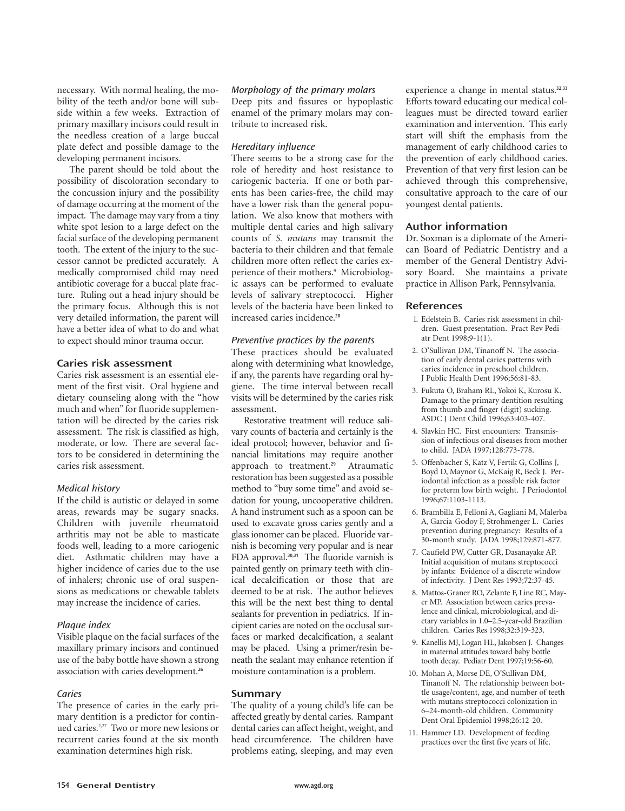necessary. With normal healing, the mobility of the teeth and/or bone will subside within a few weeks. Extraction of primary maxillary incisors could result in the needless creation of a large buccal plate defect and possible damage to the developing permanent incisors.

The parent should be told about the possibility of discoloration secondary to the concussion injury and the possibility of damage occurring at the moment of the impact. The damage may vary from a tiny white spot lesion to a large defect on the facial surface of the developing permanent tooth. The extent of the injury to the successor cannot be predicted accurately. A medically compromised child may need antibiotic coverage for a buccal plate fracture. Ruling out a head injury should be the primary focus. Although this is not very detailed information, the parent will have a better idea of what to do and what to expect should minor trauma occur.

# **Caries risk assessment**

Caries risk assessment is an essential element of the first visit. Oral hygiene and dietary counseling along with the "how much and when" for fluoride supplementation will be directed by the caries risk assessment. The risk is classified as high, moderate, or low. There are several factors to be considered in determining the caries risk assessment.

## Medical history

If the child is autistic or delayed in some areas, rewards may be sugary snacks. Children with juvenile rheumatoid arthritis may not be able to masticate foods well, leading to a more cariogenic diet. Asthmatic children may have a higher incidence of caries due to the use of inhalers; chronic use of oral suspensions as medications or chewable tablets may increase the incidence of caries.

## Plaque index

Visible plaque on the facial surfaces of the maxillary primary incisors and continued use of the baby bottle have shown a strong association with caries development.**<sup>26</sup>**

## **Caries**

The presence of caries in the early primary dentition is a predictor for continued caries.2,27 Two or more new lesions or recurrent caries found at the six month examination determines high risk.

# Morphology of the primary molars

Deep pits and fissures or hypoplastic enamel of the primary molars may contribute to increased risk.

# Hereditary influence

There seems to be a strong case for the role of heredity and host resistance to cariogenic bacteria. If one or both parents has been caries-free, the child may have a lower risk than the general population. We also know that mothers with multiple dental caries and high salivary counts of *S. mutans* may transmit the bacteria to their children and that female children more often reflect the caries experience of their mothers.**<sup>4</sup>** Microbiologic assays can be performed to evaluate levels of salivary streptococci. Higher levels of the bacteria have been linked to increased caries incidence.**<sup>28</sup>**

# Preventive practices by the parents

These practices should be evaluated along with determining what knowledge, if any, the parents have regarding oral hygiene. The time interval between recall visits will be determined by the caries risk assessment.

Restorative treatment will reduce salivary counts of bacteria and certainly is the ideal protocol; however, behavior and financial limitations may require another approach to treatment.**<sup>29</sup>** Atraumatic restoration has been suggested as a possible method to "buy some time" and avoid sedation for young, uncooperative children. A hand instrument such as a spoon can be used to excavate gross caries gently and a glass ionomer can be placed. Fluoride varnish is becoming very popular and is near FDA approval.**30,31** The fluoride varnish is painted gently on primary teeth with clinical decalcification or those that are deemed to be at risk. The author believes this will be the next best thing to dental sealants for prevention in pediatrics. If incipient caries are noted on the occlusal surfaces or marked decalcification, a sealant may be placed. Using a primer/resin beneath the sealant may enhance retention if moisture contamination is a problem.

# **Summary**

The quality of a young child's life can be affected greatly by dental caries. Rampant dental caries can affect height, weight, and head circumference. The children have problems eating, sleeping, and may even experience a change in mental status.**32,33** Efforts toward educating our medical colleagues must be directed toward earlier examination and intervention. This early start will shift the emphasis from the management of early childhood caries to the prevention of early childhood caries. Prevention of that very first lesion can be achieved through this comprehensive, consultative approach to the care of our youngest dental patients.

# **Author information**

Dr. Soxman is a diplomate of the American Board of Pediatric Dentistry and a member of the General Dentistry Advisory Board. She maintains a private practice in Allison Park, Pennsylvania.

# **References**

- l. Edelstein B. Caries risk assessment in children. Guest presentation. Pract Rev Pediatr Dent 1998;9-1(1).
- 2. O'Sullivan DM, Tinanoff N. The association of early dental caries patterns with caries incidence in preschool children. J Public Health Dent 1996;56:81-83.
- 3. Fukuta O, Braham RL, Yokoi K, Kurosu K. Damage to the primary dentition resulting from thumb and finger (digit) sucking. ASDC J Dent Child 1996;63:403-407.
- 4. Slavkin HC. First encounters: Transmission of infectious oral diseases from mother to child. JADA 1997;128:773-778.
- 5. Offenbacher S, Katz V, Fertik G, Collins J, Boyd D, Maynor G, McKaig R, Beck J. Periodontal infection as a possible risk factor for preterm low birth weight. J Periodontol 1996;67:1103-1113.
- 6. Brambilla E, Felloni A, Gagliani M, Malerba A, Garcia-Godoy F, Strohmenger L. Caries prevention during pregnancy: Results of a 30-month study. JADA 1998;129:871-877.
- 7. Caufield PW, Cutter GR, Dasanayake AP. Initial acquisition of mutans streptococci by infants: Evidence of a discrete window of infectivity. J Dent Res 1993;72:37-45.
- 8. Mattos-Graner RO, Zelante F, Line RC, Mayer MP. Association between caries prevalence and clinical, microbiological, and dietary variables in 1.0–2.5-year-old Brazilian children. Caries Res 1998;32:319-323.
- 9. Kanellis MJ, Logan HL, Jakobsen J. Changes in maternal attitudes toward baby bottle tooth decay. Pediatr Dent 1997;19:56-60.
- 10. Mohan A, Morse DE, O'Sullivan DM, Tinanoff N. The relationship between bottle usage/content, age, and number of teeth with mutans streptococci colonization in 6–24-month-old children. Community Dent Oral Epidemiol 1998;26:12-20.
- 11. Hammer LD. Development of feeding practices over the first five years of life.